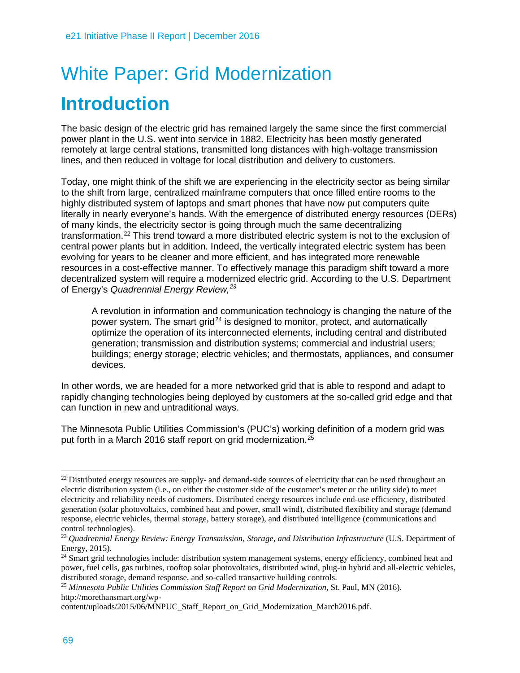# White Paper: Grid Modernization **Introduction**

The basic design of the electric grid has remained largely the same since the first commercial power plant in the U.S. went into service in 1882. Electricity has been mostly generated remotely at large central stations, transmitted long distances with high-voltage transmission lines, and then reduced in voltage for local distribution and delivery to customers.

Today, one might think of the shift we are experiencing in the electricity sector as being similar to the shift from large, centralized mainframe computers that once filled entire rooms to the highly distributed system of laptops and smart phones that have now put computers quite literally in nearly everyone's hands. With the emergence of distributed energy resources (DERs) of many kinds, the electricity sector is going through much the same decentralizing transformation.[22](#page-0-0) This trend toward a more distributed electric system is not to the exclusion of central power plants but in addition. Indeed, the vertically integrated electric system has been evolving for years to be cleaner and more efficient, and has integrated more renewable resources in a cost-effective manner. To effectively manage this paradigm shift toward a more decentralized system will require a modernized electric grid. According to the U.S. Department of Energy's *Quadrennial Energy Review, [23](#page-0-1)*

A revolution in information and communication technology is changing the nature of the power system. The smart grid<sup>[24](#page-0-2)</sup> is designed to monitor, protect, and automatically optimize the operation of its interconnected elements, including central and distributed generation; transmission and distribution systems; commercial and industrial users; buildings; energy storage; electric vehicles; and thermostats, appliances, and consumer devices.

In other words, we are headed for a more networked grid that is able to respond and adapt to rapidly changing technologies being deployed by customers at the so-called grid edge and that can function in new and untraditional ways.

The Minnesota Public Utilities Commission's (PUC's) working definition of a modern grid was put forth in a March 2016 staff report on grid modernization.<sup>[25](#page-0-3)</sup>

<span id="page-0-0"></span> $\ddot{\phantom{a}}$  $^{22}$  Distributed energy resources are supply- and demand-side sources of electricity that can be used throughout an electric distribution system (i.e., on either the customer side of the customer's meter or the utility side) to meet electricity and reliability needs of customers. Distributed energy resources include end-use efficiency, distributed generation (solar photovoltaics, combined heat and power, small wind), distributed flexibility and storage (demand response, electric vehicles, thermal storage, battery storage), and distributed intelligence (communications and control technologies).

<span id="page-0-1"></span><sup>23</sup> *Quadrennial Energy Review: Energy Transmission, Storage, and Distribution Infrastructure* (U.S. Department of Energy, 2015).

<span id="page-0-2"></span> $24$  Smart grid technologies include: distribution system management systems, energy efficiency, combined heat and power, fuel cells, gas turbines, rooftop solar photovoltaics, distributed wind, plug-in hybrid and all-electric vehicles, distributed storage, demand response, and so-called transactive building controls.

<span id="page-0-3"></span><sup>25</sup> *Minnesota Public Utilities Commission Staff Report on Grid Modernization*, St. Paul, MN (2016). http://morethansmart.org/wp-

content/uploads/2015/06/MNPUC\_Staff\_Report\_on\_Grid\_Modernization\_March2016.pdf.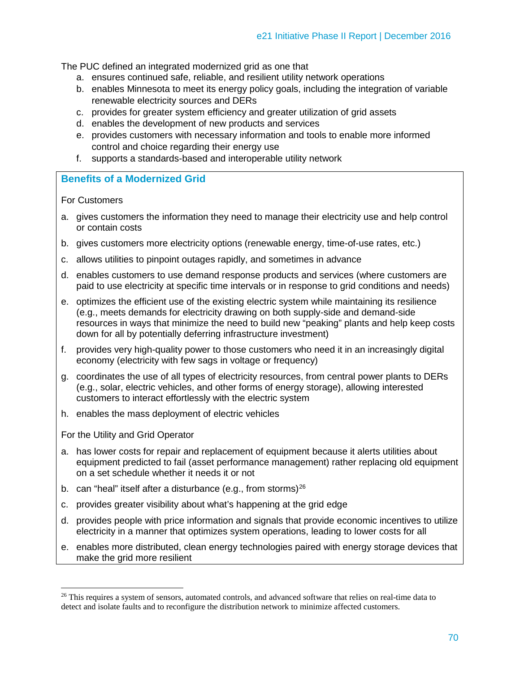The PUC defined an integrated modernized grid as one that

- a. ensures continued safe, reliable, and resilient utility network operations
- b. enables Minnesota to meet its energy policy goals, including the integration of variable renewable electricity sources and DERs
- c. provides for greater system efficiency and greater utilization of grid assets
- d. enables the development of new products and services
- e. provides customers with necessary information and tools to enable more informed control and choice regarding their energy use
- f. supports a standards-based and interoperable utility network

# **Benefits of a Modernized Grid**

For Customers

- a. gives customers the information they need to manage their electricity use and help control or contain costs
- b. gives customers more electricity options (renewable energy, time-of-use rates, etc.)
- c. allows utilities to pinpoint outages rapidly, and sometimes in advance
- d. enables customers to use demand response products and services (where customers are paid to use electricity at specific time intervals or in response to grid conditions and needs)
- e. optimizes the efficient use of the existing electric system while maintaining its resilience (e.g., meets demands for electricity drawing on both supply-side and demand-side resources in ways that minimize the need to build new "peaking" plants and help keep costs down for all by potentially deferring infrastructure investment)
- f. provides very high-quality power to those customers who need it in an increasingly digital economy (electricity with few sags in voltage or frequency)
- g. coordinates the use of all types of electricity resources, from central power plants to DERs (e.g., solar, electric vehicles, and other forms of energy storage), allowing interested customers to interact effortlessly with the electric system
- h. enables the mass deployment of electric vehicles

For the Utility and Grid Operator

 $\ddot{\phantom{a}}$ 

- a. has lower costs for repair and replacement of equipment because it alerts utilities about equipment predicted to fail (asset performance management) rather replacing old equipment on a set schedule whether it needs it or not
- b. can "heal" itself after a disturbance (e.g., from storms) $^{26}$  $^{26}$  $^{26}$
- c. provides greater visibility about what's happening at the grid edge
- d. provides people with price information and signals that provide economic incentives to utilize electricity in a manner that optimizes system operations, leading to lower costs for all
- e. enables more distributed, clean energy technologies paired with energy storage devices that make the grid more resilient

<span id="page-1-0"></span><sup>&</sup>lt;sup>26</sup> This requires a system of sensors, automated controls, and advanced software that relies on real-time data to detect and isolate faults and to reconfigure the distribution network to minimize affected customers.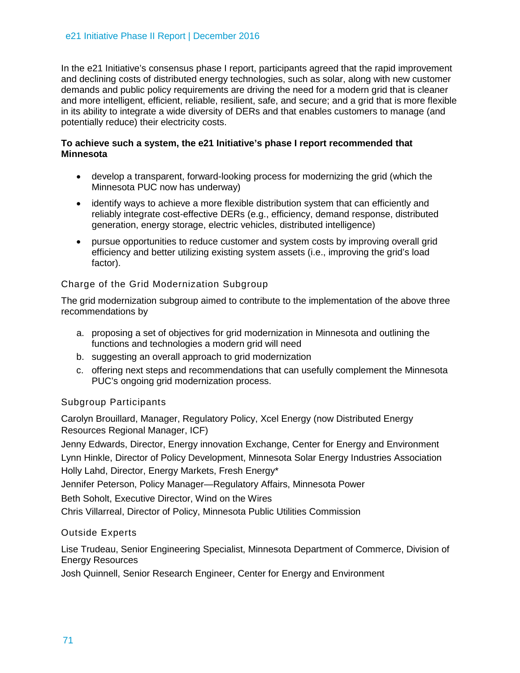In the e21 Initiative's consensus phase I report, participants agreed that the rapid improvement and declining costs of distributed energy technologies, such as solar, along with new customer demands and public policy requirements are driving the need for a modern grid that is cleaner and more intelligent, efficient, reliable, resilient, safe, and secure; and a grid that is more flexible in its ability to integrate a wide diversity of DERs and that enables customers to manage (and potentially reduce) their electricity costs.

## **To achieve such a system, the e21 Initiative's phase I report recommended that Minnesota**

- develop a transparent, forward-looking process for modernizing the grid (which the Minnesota PUC now has underway)
- identify ways to achieve a more flexible distribution system that can efficiently and reliably integrate cost-effective DERs (e.g., efficiency, demand response, distributed generation, energy storage, electric vehicles, distributed intelligence)
- pursue opportunities to reduce customer and system costs by improving overall grid efficiency and better utilizing existing system assets (i.e., improving the grid's load factor).

# Charge of the Grid Modernization Subgroup

The grid modernization subgroup aimed to contribute to the implementation of the above three recommendations by

- a. proposing a set of objectives for grid modernization in Minnesota and outlining the functions and technologies a modern grid will need
- b. suggesting an overall approach to grid modernization
- c. offering next steps and recommendations that can usefully complement the Minnesota PUC's ongoing grid modernization process.

# Subgroup Participants

Carolyn Brouillard, Manager, Regulatory Policy, Xcel Energy (now Distributed Energy Resources Regional Manager, ICF)

Jenny Edwards, Director, Energy innovation Exchange, Center for Energy and Environment Lynn Hinkle, Director of Policy Development, Minnesota Solar Energy Industries Association Holly Lahd, Director, Energy Markets, Fresh Energy\*

Jennifer Peterson, Policy Manager—Regulatory Affairs, Minnesota Power

Beth Soholt, Executive Director, Wind on the Wires

Chris Villarreal, Director of Policy, Minnesota Public Utilities Commission

# Outside Experts

Lise Trudeau, Senior Engineering Specialist, Minnesota Department of Commerce, Division of Energy Resources

Josh Quinnell, Senior Research Engineer, Center for Energy and Environment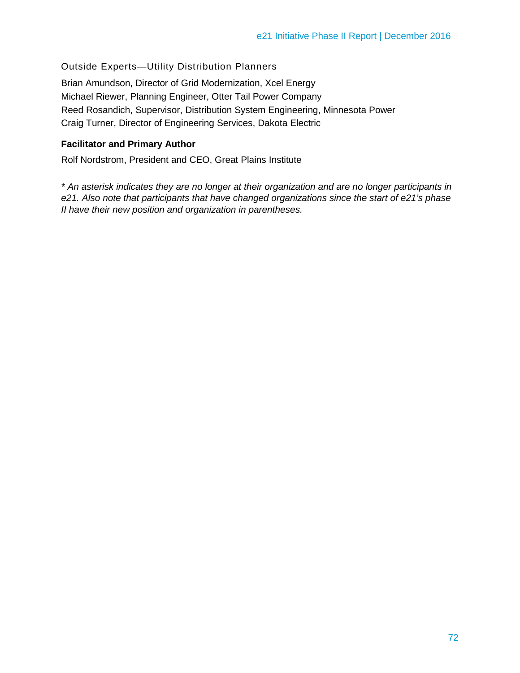Outside Experts—Utility Distribution Planners

Brian Amundson, Director of Grid Modernization, Xcel Energy Michael Riewer, Planning Engineer, Otter Tail Power Company Reed Rosandich, Supervisor, Distribution System Engineering, Minnesota Power Craig Turner, Director of Engineering Services, Dakota Electric

### **Facilitator and Primary Author**

Rolf Nordstrom, President and CEO, Great Plains Institute

*\* An asterisk indicates they are no longer at their organization and are no longer participants in e21. Also note that participants that have changed organizations since the start of e21's phase II have their new position and organization in parentheses.*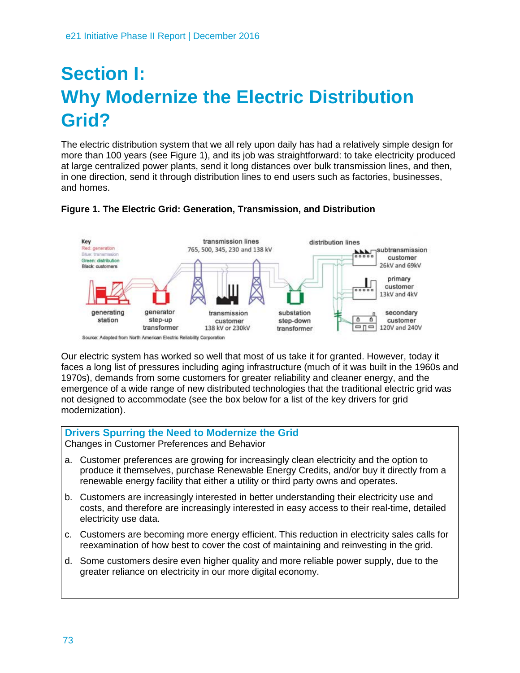# **Section I: Why Modernize the Electric Distribution Grid?**

The electric distribution system that we all rely upon daily has had a relatively simple design for more than 100 years (see Figure 1), and its job was straightforward: to take electricity produced at large centralized power plants, send it long distances over bulk transmission lines, and then, in one direction, send it through distribution lines to end users such as factories, businesses, and homes.



# **Figure 1. The Electric Grid: Generation, Transmission, and Distribution**

Our electric system has worked so well that most of us take it for granted. However, today it faces a long list of pressures including aging infrastructure (much of it was built in the 1960s and 1970s), demands from some customers for greater reliability and cleaner energy, and the emergence of a wide range of new distributed technologies that the traditional electric grid was not designed to accommodate (see the box below for a list of the key drivers for grid modernization).

# **Drivers Spurring the Need to Modernize the Grid**

Changes in Customer Preferences and Behavior

- a. Customer preferences are growing for increasingly clean electricity and the option to produce it themselves, purchase Renewable Energy Credits, and/or buy it directly from a renewable energy facility that either a utility or third party owns and operates.
- b. Customers are increasingly interested in better understanding their electricity use and costs, and therefore are increasingly interested in easy access to their real-time, detailed electricity use data.
- c. Customers are becoming more energy efficient. This reduction in electricity sales calls for reexamination of how best to cover the cost of maintaining and reinvesting in the grid.
- d. Some customers desire even higher quality and more reliable power supply, due to the greater reliance on electricity in our more digital economy.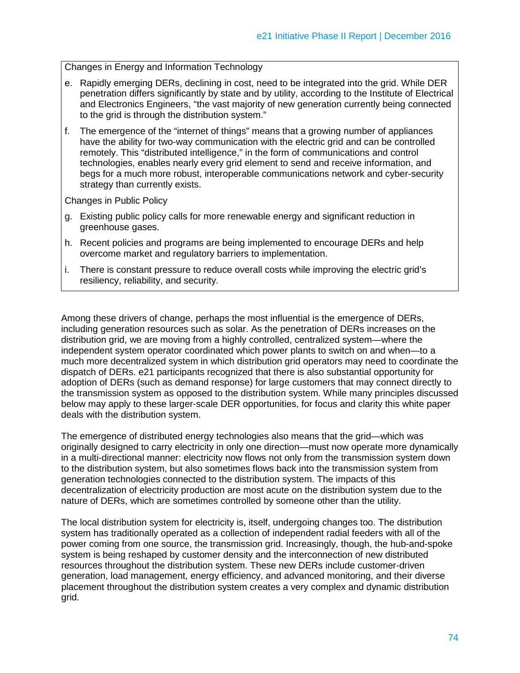Changes in Energy and Information Technology

- e. Rapidly emerging DERs, declining in cost, need to be integrated into the grid. While DER penetration differs significantly by state and by utility, according to the Institute of Electrical and Electronics Engineers, "the vast majority of new generation currently being connected to the grid is through the distribution system."
- f. The emergence of the "internet of things" means that a growing number of appliances have the ability for two-way communication with the electric grid and can be controlled remotely. This "distributed intelligence," in the form of communications and control technologies, enables nearly every grid element to send and receive information, and begs for a much more robust, interoperable communications network and cyber-security strategy than currently exists.

Changes in Public Policy

- g. Existing public policy calls for more renewable energy and significant reduction in greenhouse gases.
- h. Recent policies and programs are being implemented to encourage DERs and help overcome market and regulatory barriers to implementation.
- i. There is constant pressure to reduce overall costs while improving the electric grid's resiliency, reliability, and security.

Among these drivers of change, perhaps the most influential is the emergence of DERs, including generation resources such as solar. As the penetration of DERs increases on the distribution grid, we are moving from a highly controlled, centralized system—where the independent system operator coordinated which power plants to switch on and when—to a much more decentralized system in which distribution grid operators may need to coordinate the dispatch of DERs. e21 participants recognized that there is also substantial opportunity for adoption of DERs (such as demand response) for large customers that may connect directly to the transmission system as opposed to the distribution system. While many principles discussed below may apply to these larger-scale DER opportunities, for focus and clarity this white paper deals with the distribution system.

The emergence of distributed energy technologies also means that the grid—which was originally designed to carry electricity in only one direction—must now operate more dynamically in a multi-directional manner: electricity now flows not only from the transmission system down to the distribution system, but also sometimes flows back into the transmission system from generation technologies connected to the distribution system. The impacts of this decentralization of electricity production are most acute on the distribution system due to the nature of DERs, which are sometimes controlled by someone other than the utility.

The local distribution system for electricity is, itself, undergoing changes too. The distribution system has traditionally operated as a collection of independent radial feeders with all of the power coming from one source, the transmission grid. Increasingly, though, the hub-and-spoke system is being reshaped by customer density and the interconnection of new distributed resources throughout the distribution system. These new DERs include customer-driven generation, load management, energy efficiency, and advanced monitoring, and their diverse placement throughout the distribution system creates a very complex and dynamic distribution grid.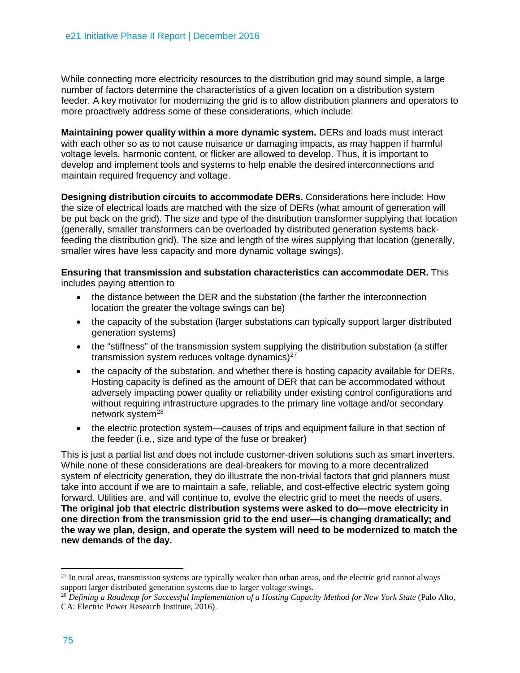While connecting more electricity resources to the distribution grid may sound simple, a large number of factors determine the characteristics of a given location on a distribution system feeder. A key motivator for modernizing the grid is to allow distribution planners and operators to more proactively address some of these considerations, which include:

**Maintaining power quality within a more dynamic system.** DERs and loads must interact with each other so as to not cause nuisance or damaging impacts, as may happen if harmful voltage levels, harmonic content, or flicker are allowed to develop. Thus, it is important to develop and implement tools and systems to help enable the desired interconnections and maintain required frequency and voltage.

**Designing distribution circuits to accommodate DERs.** Considerations here include: How the size of electrical loads are matched with the size of DERs (what amount of generation will be put back on the grid). The size and type of the distribution transformer supplying that location (generally, smaller transformers can be overloaded by distributed generation systems backfeeding the distribution grid). The size and length of the wires supplying that location (generally, smaller wires have less capacity and more dynamic voltage swings).

**Ensuring that transmission and substation characteristics can accommodate DER.** This includes paying attention to

- the distance between the DER and the substation (the farther the interconnection location the greater the voltage swings can be)
- the capacity of the substation (larger substations can typically support larger distributed generation systems)
- the "stiffness" of the transmission system supplying the distribution substation (a stiffer transmission system reduces voltage dynamics) $27$
- the capacity of the substation, and whether there is hosting capacity available for DERs. Hosting capacity is defined as the amount of DER that can be accommodated without adversely impacting power quality or reliability under existing control configurations and without requiring infrastructure upgrades to the primary line voltage and/or secondary network system<sup>[28](#page-6-1)</sup>
- the electric protection system—causes of trips and equipment failure in that section of the feeder (i.e., size and type of the fuse or breaker)

This is just a partial list and does not include customer-driven solutions such as smart inverters. While none of these considerations are deal-breakers for moving to a more decentralized system of electricity generation, they do illustrate the non-trivial factors that grid planners must take into account if we are to maintain a safe, reliable, and cost-effective electric system going forward. Utilities are, and will continue to, evolve the electric grid to meet the needs of users. **The original job that electric distribution systems were asked to do—move electricity in one direction from the transmission grid to the end user—is changing dramatically; and the way we plan, design, and operate the system will need to be modernized to match the new demands of the day.** 

<span id="page-6-0"></span> $27$  In rural areas, transmission systems are typically weaker than urban areas, and the electric grid cannot always support larger distributed generation systems due to larger voltage swings.

<span id="page-6-1"></span><sup>&</sup>lt;sup>28</sup> *Defining a Roadmap for Successful Implementation of a Hosting Capacity Method for New York State (Palo Alto,* CA: Electric Power Research Institute, 2016).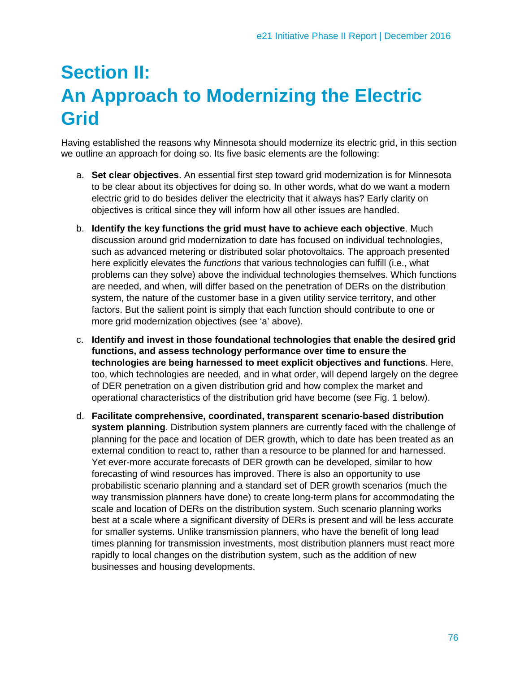# **Section II: An Approach to Modernizing the Electric Grid**

Having established the reasons why Minnesota should modernize its electric grid, in this section we outline an approach for doing so. Its five basic elements are the following:

- a. **Set clear objectives**. An essential first step toward grid modernization is for Minnesota to be clear about its objectives for doing so. In other words, what do we want a modern electric grid to do besides deliver the electricity that it always has? Early clarity on objectives is critical since they will inform how all other issues are handled.
- b. **Identify the key functions the grid must have to achieve each objective**. Much discussion around grid modernization to date has focused on individual technologies, such as advanced metering or distributed solar photovoltaics. The approach presented here explicitly elevates the *functions* that various technologies can fulfill (i.e., what problems can they solve) above the individual technologies themselves. Which functions are needed, and when, will differ based on the penetration of DERs on the distribution system, the nature of the customer base in a given utility service territory, and other factors. But the salient point is simply that each function should contribute to one or more grid modernization objectives (see 'a' above).
- c. **Identify and invest in those foundational technologies that enable the desired grid functions, and assess technology performance over time to ensure the technologies are being harnessed to meet explicit objectives and functions**. Here, too, which technologies are needed, and in what order, will depend largely on the degree of DER penetration on a given distribution grid and how complex the market and operational characteristics of the distribution grid have become (see Fig. 1 below).
- d. **Facilitate comprehensive, coordinated, transparent scenario-based distribution system planning**. Distribution system planners are currently faced with the challenge of planning for the pace and location of DER growth, which to date has been treated as an external condition to react to, rather than a resource to be planned for and harnessed. Yet ever-more accurate forecasts of DER growth can be developed, similar to how forecasting of wind resources has improved. There is also an opportunity to use probabilistic scenario planning and a standard set of DER growth scenarios (much the way transmission planners have done) to create long-term plans for accommodating the scale and location of DERs on the distribution system. Such scenario planning works best at a scale where a significant diversity of DERs is present and will be less accurate for smaller systems. Unlike transmission planners, who have the benefit of long lead times planning for transmission investments, most distribution planners must react more rapidly to local changes on the distribution system, such as the addition of new businesses and housing developments.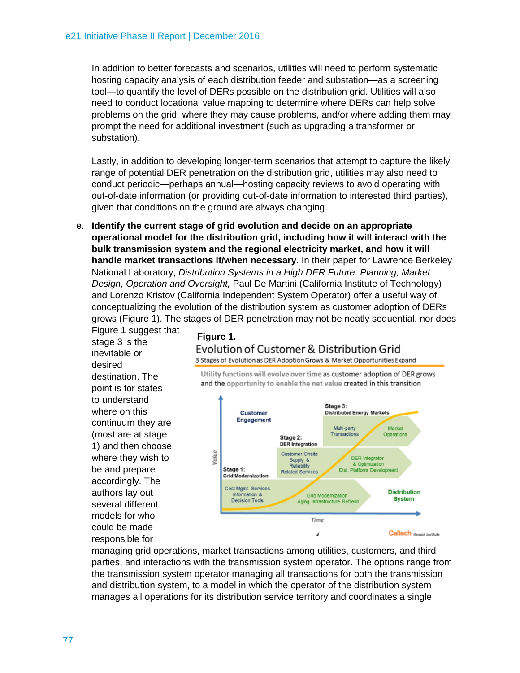In addition to better forecasts and scenarios, utilities will need to perform systematic hosting capacity analysis of each distribution feeder and substation—as a screening tool—to quantify the level of DERs possible on the distribution grid. Utilities will also need to conduct locational value mapping to determine where DERs can help solve problems on the grid, where they may cause problems, and/or where adding them may prompt the need for additional investment (such as upgrading a transformer or substation).

Lastly, in addition to developing longer-term scenarios that attempt to capture the likely range of potential DER penetration on the distribution grid, utilities may also need to conduct periodic—perhaps annual—hosting capacity reviews to avoid operating with out-of-date information (or providing out-of-date information to interested third parties), given that conditions on the ground are always changing.

e. **Identify the current stage of grid evolution and decide on an appropriate operational model for the distribution grid, including how it will interact with the bulk transmission system and the regional electricity market, and how it will handle market transactions if/when necessary**. In their paper for Lawrence Berkeley National Laboratory, *Distribution Systems in a High DER Future: Planning, Market Design, Operation and Oversight,* Paul De Martini (California Institute of Technology) and Lorenzo Kristov (California Independent System Operator) offer a useful way of conceptualizing the evolution of the distribution system as customer adoption of DERs grows (Figure 1). The stages of DER penetration may not be neatly sequential, nor does

Figure 1 suggest that stage 3 is the inevitable or desired destination. The point is for states to understand where on this continuum they are (most are at stage 1) and then choose where they wish to be and prepare accordingly. The authors lay out several different models for who could be made responsible for

#### **Figure 1.**Evolution of Customer & Distribution Grid

3 Stages of Evolution as DER Adoption Grows & Market Opportunities Expand

Utility functions will evolve over time as customer adoption of DER grows and the opportunity to enable the net value created in this transition



managing grid operations, market transactions among utilities, customers, and third parties, and interactions with the transmission system operator. The options range from the transmission system operator managing all transactions for both the transmission and distribution system, to a model in which the operator of the distribution system manages all operations for its distribution service territory and coordinates a single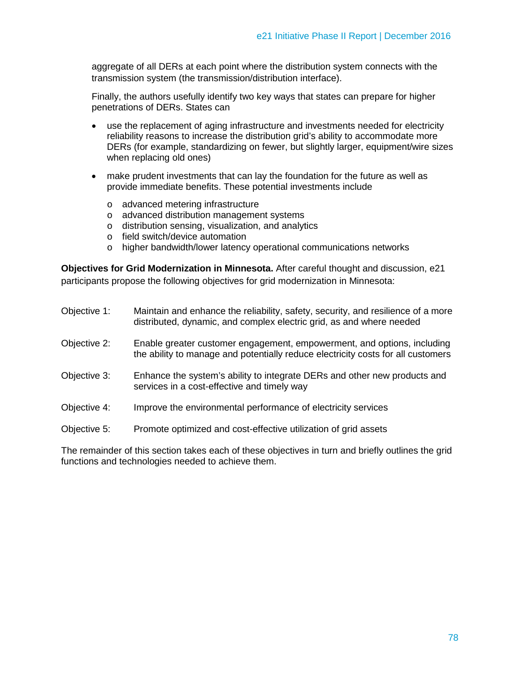aggregate of all DERs at each point where the distribution system connects with the transmission system (the transmission/distribution interface).

Finally, the authors usefully identify two key ways that states can prepare for higher penetrations of DERs. States can

- use the replacement of aging infrastructure and investments needed for electricity reliability reasons to increase the distribution grid's ability to accommodate more DERs (for example, standardizing on fewer, but slightly larger, equipment/wire sizes when replacing old ones)
- make prudent investments that can lay the foundation for the future as well as provide immediate benefits. These potential investments include
	- o advanced metering infrastructure
	- o advanced distribution management systems
	- o distribution sensing, visualization, and analytics
	- o field switch/device automation
	- o higher bandwidth/lower latency operational communications networks

**Objectives for Grid Modernization in Minnesota.** After careful thought and discussion, e21 participants propose the following objectives for grid modernization in Minnesota:

| Objective 1: | Maintain and enhance the reliability, safety, security, and resilience of a more<br>distributed, dynamic, and complex electric grid, as and where needed    |
|--------------|-------------------------------------------------------------------------------------------------------------------------------------------------------------|
| Objective 2: | Enable greater customer engagement, empowerment, and options, including<br>the ability to manage and potentially reduce electricity costs for all customers |
| Objective 3: | Enhance the system's ability to integrate DERs and other new products and<br>services in a cost-effective and timely way                                    |
| Objective 4: | Improve the environmental performance of electricity services                                                                                               |
| Objective 5: | Promote optimized and cost-effective utilization of grid assets                                                                                             |

The remainder of this section takes each of these objectives in turn and briefly outlines the grid functions and technologies needed to achieve them.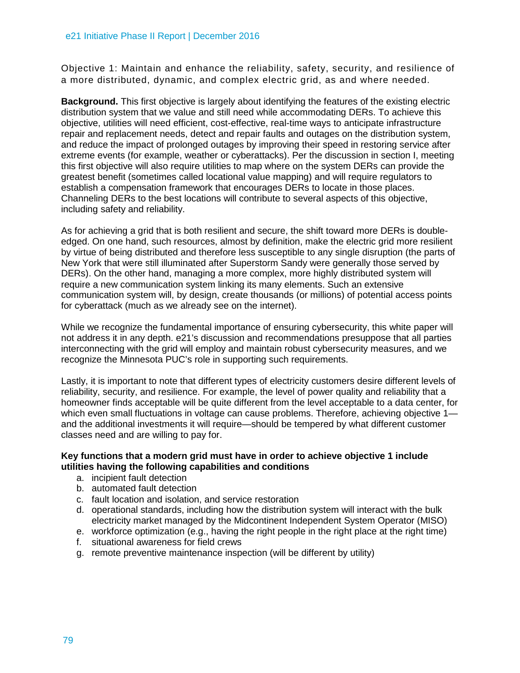Objective 1: Maintain and enhance the reliability, safety, security, and resilience of a more distributed, dynamic, and complex electric grid, as and where needed.

**Background.** This first objective is largely about identifying the features of the existing electric distribution system that we value and still need while accommodating DERs. To achieve this objective, utilities will need efficient, cost-effective, real-time ways to anticipate infrastructure repair and replacement needs, detect and repair faults and outages on the distribution system, and reduce the impact of prolonged outages by improving their speed in restoring service after extreme events (for example, weather or cyberattacks). Per the discussion in section I, meeting this first objective will also require utilities to map where on the system DERs can provide the greatest benefit (sometimes called locational value mapping) and will require regulators to establish a compensation framework that encourages DERs to locate in those places. Channeling DERs to the best locations will contribute to several aspects of this objective, including safety and reliability.

As for achieving a grid that is both resilient and secure, the shift toward more DERs is doubleedged. On one hand, such resources, almost by definition, make the electric grid more resilient by virtue of being distributed and therefore less susceptible to any single disruption (the parts of New York that were still illuminated after Superstorm Sandy were generally those served by DERs). On the other hand, managing a more complex, more highly distributed system will require a new communication system linking its many elements. Such an extensive communication system will, by design, create thousands (or millions) of potential access points for cyberattack (much as we already see on the internet).

While we recognize the fundamental importance of ensuring cybersecurity, this white paper will not address it in any depth. e21's discussion and recommendations presuppose that all parties interconnecting with the grid will employ and maintain robust cybersecurity measures, and we recognize the Minnesota PUC's role in supporting such requirements.

Lastly, it is important to note that different types of electricity customers desire different levels of reliability, security, and resilience. For example, the level of power quality and reliability that a homeowner finds acceptable will be quite different from the level acceptable to a data center, for which even small fluctuations in voltage can cause problems. Therefore, achieving objective 1 and the additional investments it will require—should be tempered by what different customer classes need and are willing to pay for.

## **Key functions that a modern grid must have in order to achieve objective 1 include utilities having the following capabilities and conditions**

- a. incipient fault detection
- b. automated fault detection
- c. fault location and isolation, and service restoration
- d. operational standards, including how the distribution system will interact with the bulk electricity market managed by the Midcontinent Independent System Operator (MISO)
- e. workforce optimization (e.g., having the right people in the right place at the right time)
- f. situational awareness for field crews
- g. remote preventive maintenance inspection (will be different by utility)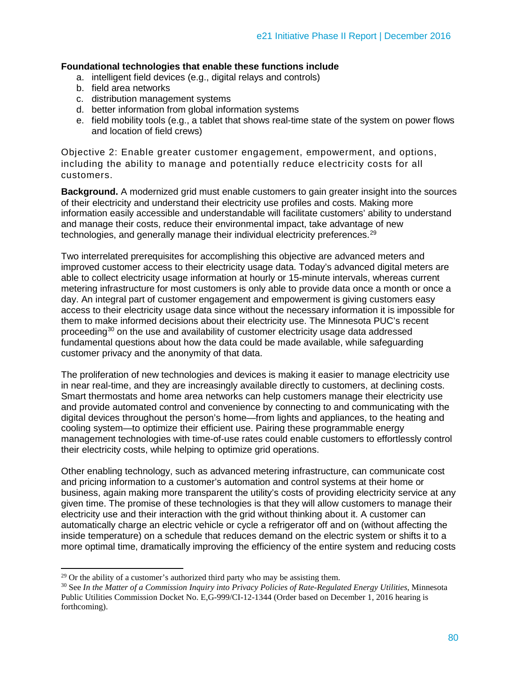#### **Foundational technologies that enable these functions include**

- a. intelligent field devices (e.g., digital relays and controls)
- b. field area networks
- c. distribution management systems
- d. better information from global information systems
- e. field mobility tools (e.g., a tablet that shows real-time state of the system on power flows and location of field crews)

Objective 2: Enable greater customer engagement, empowerment, and options, including the ability to manage and potentially reduce electricity costs for all customers.

**Background.** A modernized grid must enable customers to gain greater insight into the sources of their electricity and understand their electricity use profiles and costs. Making more information easily accessible and understandable will facilitate customers' ability to understand and manage their costs, reduce their environmental impact, take advantage of new technologies, and generally manage their individual electricity preferences.<sup>[29](#page-11-0)</sup>

Two interrelated prerequisites for accomplishing this objective are advanced meters and improved customer access to their electricity usage data. Today's advanced digital meters are able to collect electricity usage information at hourly or 15-minute intervals, whereas current metering infrastructure for most customers is only able to provide data once a month or once a day. An integral part of customer engagement and empowerment is giving customers easy access to their electricity usage data since without the necessary information it is impossible for them to make informed decisions about their electricity use. The Minnesota PUC's recent proceeding[30](#page-11-1) on the use and availability of customer electricity usage data addressed fundamental questions about how the data could be made available, while safeguarding customer privacy and the anonymity of that data.

The proliferation of new technologies and devices is making it easier to manage electricity use in near real-time, and they are increasingly available directly to customers, at declining costs. Smart thermostats and home area networks can help customers manage their electricity use and provide automated control and convenience by connecting to and communicating with the digital devices throughout the person's home—from lights and appliances, to the heating and cooling system—to optimize their efficient use. Pairing these programmable energy management technologies with time-of-use rates could enable customers to effortlessly control their electricity costs, while helping to optimize grid operations.

Other enabling technology, such as advanced metering infrastructure, can communicate cost and pricing information to a customer's automation and control systems at their home or business, again making more transparent the utility's costs of providing electricity service at any given time. The promise of these technologies is that they will allow customers to manage their electricity use and their interaction with the grid without thinking about it. A customer can automatically charge an electric vehicle or cycle a refrigerator off and on (without affecting the inside temperature) on a schedule that reduces demand on the electric system or shifts it to a more optimal time, dramatically improving the efficiency of the entire system and reducing costs

<span id="page-11-0"></span> $29$  Or the ability of a customer's authorized third party who may be assisting them.

<span id="page-11-1"></span><sup>30</sup> See *In the Matter of a Commission Inquiry into Privacy Policies of Rate-Regulated Energy Utilities*, Minnesota Public Utilities Commission Docket No. E,G-999/CI-12-1344 (Order based on December 1, 2016 hearing is forthcoming).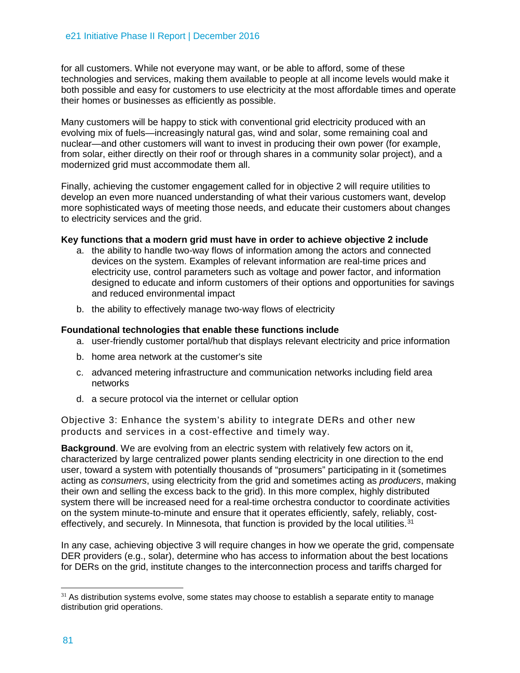for all customers. While not everyone may want, or be able to afford, some of these technologies and services, making them available to people at all income levels would make it both possible and easy for customers to use electricity at the most affordable times and operate their homes or businesses as efficiently as possible.

Many customers will be happy to stick with conventional grid electricity produced with an evolving mix of fuels—increasingly natural gas, wind and solar, some remaining coal and nuclear—and other customers will want to invest in producing their own power (for example, from solar, either directly on their roof or through shares in a community solar project), and a modernized grid must accommodate them all.

Finally, achieving the customer engagement called for in objective 2 will require utilities to develop an even more nuanced understanding of what their various customers want, develop more sophisticated ways of meeting those needs, and educate their customers about changes to electricity services and the grid.

#### **Key functions that a modern grid must have in order to achieve objective 2 include**

- a. the ability to handle two-way flows of information among the actors and connected devices on the system. Examples of relevant information are real-time prices and electricity use, control parameters such as voltage and power factor, and information designed to educate and inform customers of their options and opportunities for savings and reduced environmental impact
- b. the ability to effectively manage two-way flows of electricity

#### **Foundational technologies that enable these functions include**

- a. user-friendly customer portal/hub that displays relevant electricity and price information
- b. home area network at the customer's site
- c. advanced metering infrastructure and communication networks including field area networks
- d. a secure protocol via the internet or cellular option

Objective 3: Enhance the system's ability to integrate DERs and other new products and services in a cost-effective and timely way.

**Background**. We are evolving from an electric system with relatively few actors on it, characterized by large centralized power plants sending electricity in one direction to the end user, toward a system with potentially thousands of "prosumers" participating in it (sometimes acting as *consumers*, using electricity from the grid and sometimes acting as *producers*, making their own and selling the excess back to the grid). In this more complex, highly distributed system there will be increased need for a real-time orchestra conductor to coordinate activities on the system minute-to-minute and ensure that it operates efficiently, safely, reliably, cost-effectively, and securely. In Minnesota, that function is provided by the local utilities.<sup>[31](#page-12-0)</sup>

In any case, achieving objective 3 will require changes in how we operate the grid, compensate DER providers (e.g., solar), determine who has access to information about the best locations for DERs on the grid, institute changes to the interconnection process and tariffs charged for

<span id="page-12-0"></span> $\ddot{\phantom{a}}$  $31$  As distribution systems evolve, some states may choose to establish a separate entity to manage distribution grid operations.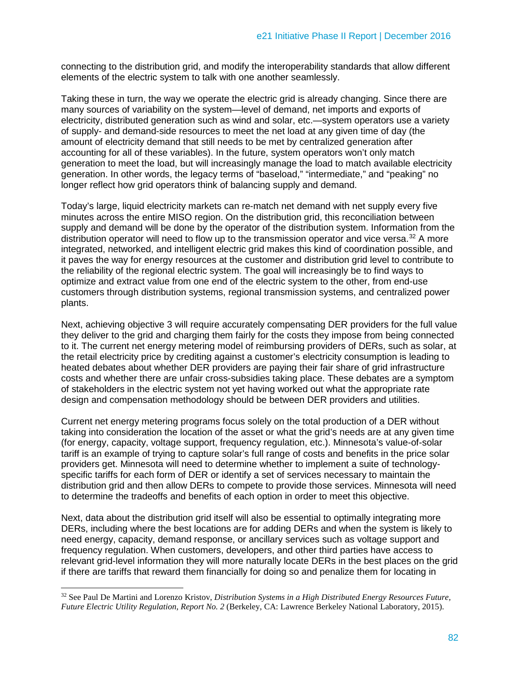connecting to the distribution grid, and modify the interoperability standards that allow different elements of the electric system to talk with one another seamlessly.

Taking these in turn, the way we operate the electric grid is already changing. Since there are many sources of variability on the system—level of demand, net imports and exports of electricity, distributed generation such as wind and solar, etc.—system operators use a variety of supply- and demand-side resources to meet the net load at any given time of day (the amount of electricity demand that still needs to be met by centralized generation after accounting for all of these variables). In the future, system operators won't only match generation to meet the load, but will increasingly manage the load to match available electricity generation. In other words, the legacy terms of "baseload," "intermediate," and "peaking" no longer reflect how grid operators think of balancing supply and demand.

Today's large, liquid electricity markets can re-match net demand with net supply every five minutes across the entire MISO region. On the distribution grid, this reconciliation between supply and demand will be done by the operator of the distribution system. Information from the distribution operator will need to flow up to the transmission operator and vice versa.<sup>[32](#page-13-0)</sup> A more integrated, networked, and intelligent electric grid makes this kind of coordination possible, and it paves the way for energy resources at the customer and distribution grid level to contribute to the reliability of the regional electric system. The goal will increasingly be to find ways to optimize and extract value from one end of the electric system to the other, from end-use customers through distribution systems, regional transmission systems, and centralized power plants.

Next, achieving objective 3 will require accurately compensating DER providers for the full value they deliver to the grid and charging them fairly for the costs they impose from being connected to it. The current net energy metering model of reimbursing providers of DERs, such as solar, at the retail electricity price by crediting against a customer's electricity consumption is leading to heated debates about whether DER providers are paying their fair share of grid infrastructure costs and whether there are unfair cross-subsidies taking place. These debates are a symptom of stakeholders in the electric system not yet having worked out what the appropriate rate design and compensation methodology should be between DER providers and utilities.

Current net energy metering programs focus solely on the total production of a DER without taking into consideration the location of the asset or what the grid's needs are at any given time (for energy, capacity, voltage support, frequency regulation, etc.). Minnesota's value-of-solar tariff is an example of trying to capture solar's full range of costs and benefits in the price solar providers get. Minnesota will need to determine whether to implement a suite of technologyspecific tariffs for each form of DER or identify a set of services necessary to maintain the distribution grid and then allow DERs to compete to provide those services. Minnesota will need to determine the tradeoffs and benefits of each option in order to meet this objective.

Next, data about the distribution grid itself will also be essential to optimally integrating more DERs, including where the best locations are for adding DERs and when the system is likely to need energy, capacity, demand response, or ancillary services such as voltage support and frequency regulation. When customers, developers, and other third parties have access to relevant grid-level information they will more naturally locate DERs in the best places on the grid if there are tariffs that reward them financially for doing so and penalize them for locating in

 $\ddot{\phantom{a}}$ 

<span id="page-13-0"></span><sup>32</sup> See Paul De Martini and Lorenzo Kristov, *Distribution Systems in a High Distributed Energy Resources Future, Future Electric Utility Regulation, Report No. 2* (Berkeley, CA: Lawrence Berkeley National Laboratory, 2015).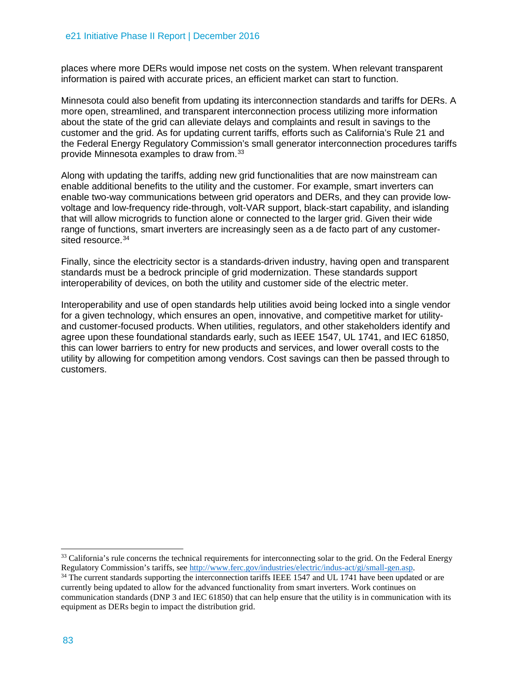places where more DERs would impose net costs on the system. When relevant transparent information is paired with accurate prices, an efficient market can start to function.

Minnesota could also benefit from updating its interconnection standards and tariffs for DERs. A more open, streamlined, and transparent interconnection process utilizing more information about the state of the grid can alleviate delays and complaints and result in savings to the customer and the grid. As for updating current tariffs, efforts such as California's Rule 21 and the Federal Energy Regulatory Commission's small generator interconnection procedures tariffs provide Minnesota examples to draw from.[33](#page-14-0)

Along with updating the tariffs, adding new grid functionalities that are now mainstream can enable additional benefits to the utility and the customer. For example, smart inverters can enable two-way communications between grid operators and DERs, and they can provide lowvoltage and low-frequency ride-through, volt-VAR support, black-start capability, and islanding that will allow microgrids to function alone or connected to the larger grid. Given their wide range of functions, smart inverters are increasingly seen as a de facto part of any customersited resource. [34](#page-14-1)

Finally, since the electricity sector is a standards-driven industry, having open and transparent standards must be a bedrock principle of grid modernization. These standards support interoperability of devices, on both the utility and customer side of the electric meter.

Interoperability and use of open standards help utilities avoid being locked into a single vendor for a given technology, which ensures an open, innovative, and competitive market for utilityand customer-focused products. When utilities, regulators, and other stakeholders identify and agree upon these foundational standards early, such as IEEE 1547, UL 1741, and IEC 61850, this can lower barriers to entry for new products and services, and lower overall costs to the utility by allowing for competition among vendors. Cost savings can then be passed through to customers.

<span id="page-14-0"></span><sup>&</sup>lt;sup>33</sup> California's rule concerns the technical requirements for interconnecting solar to the grid. On the Federal Energy Regulatory Commission's tariffs, see [http://www.ferc.gov/industries/electric/indus-act/gi/small-gen.asp.](http://www.ferc.gov/industries/electric/indus-act/gi/small-gen.asp)

<span id="page-14-1"></span><sup>&</sup>lt;sup>34</sup> The current standards supporting the interconnection tariffs IEEE 1547 and UL 1741 have been updated or are currently being updated to allow for the advanced functionality from smart inverters. Work continues on communication standards (DNP 3 and IEC 61850) that can help ensure that the utility is in communication with its equipment as DERs begin to impact the distribution grid.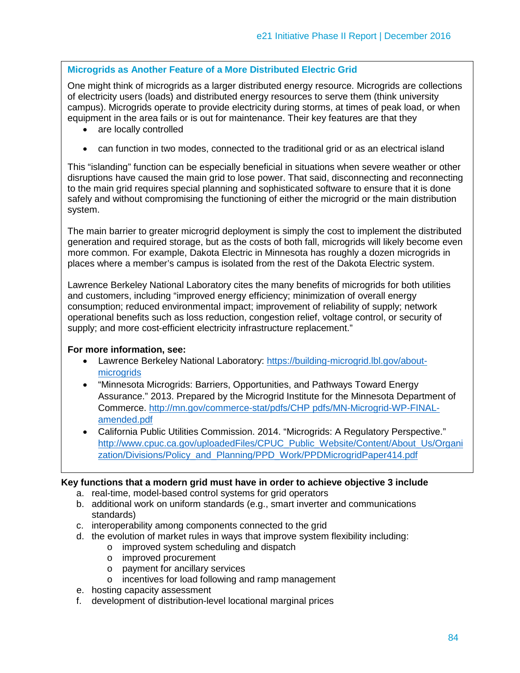# **Microgrids as Another Feature of a More Distributed Electric Grid**

One might think of microgrids as a larger distributed energy resource. Microgrids are collections of electricity users (loads) and distributed energy resources to serve them (think university campus). Microgrids operate to provide electricity during storms, at times of peak load, or when equipment in the area fails or is out for maintenance. Their key features are that they

- are locally controlled
- can function in two modes, connected to the traditional grid or as an electrical island

This "islanding" function can be especially beneficial in situations when severe weather or other disruptions have caused the main grid to lose power. That said, disconnecting and reconnecting to the main grid requires special planning and sophisticated software to ensure that it is done safely and without compromising the functioning of either the microgrid or the main distribution system.

The main barrier to greater microgrid deployment is simply the cost to implement the distributed generation and required storage, but as the costs of both fall, microgrids will likely become even more common. For example, Dakota Electric in Minnesota has roughly a dozen microgrids in places where a member's campus is isolated from the rest of the Dakota Electric system.

Lawrence Berkeley National Laboratory cites the many benefits of microgrids for both utilities and customers, including "improved energy efficiency; minimization of overall energy consumption; reduced environmental impact; improvement of reliability of supply; network operational benefits such as loss reduction, congestion relief, voltage control, or security of supply; and more cost-efficient electricity infrastructure replacement."

#### **For more information, see:**

- Lawrence Berkeley National Laboratory: [https://building-microgrid.lbl.gov/about](https://building-microgrid.lbl.gov/about-microgrids)[microgrids](https://building-microgrid.lbl.gov/about-microgrids)
- "Minnesota Microgrids: Barriers, Opportunities, and Pathways Toward Energy Assurance." 2013. Prepared by the Microgrid Institute for the Minnesota Department of Commerce. [http://mn.gov/commerce-stat/pdfs/CHP pdfs/MN-Microgrid-WP-FINAL](http://mn.gov/commerce-stat/pdfs/CHP%20pdfs/MN-Microgrid-WP-FINAL-amended.pdf)[amended.pdf](http://mn.gov/commerce-stat/pdfs/CHP%20pdfs/MN-Microgrid-WP-FINAL-amended.pdf)
- California Public Utilities Commission. 2014. "Microgrids: A Regulatory Perspective." [http://www.cpuc.ca.gov/uploadedFiles/CPUC\\_Public\\_Website/Content/About\\_Us/Organi](http://www.cpuc.ca.gov/uploadedFiles/CPUC_Public_Website/Content/About_Us/Organization/Divisions/Policy_and_Planning/PPD_Work/PPDMicrogridPaper414.pdf) [zation/Divisions/Policy\\_and\\_Planning/PPD\\_Work/PPDMicrogridPaper414.pdf](http://www.cpuc.ca.gov/uploadedFiles/CPUC_Public_Website/Content/About_Us/Organization/Divisions/Policy_and_Planning/PPD_Work/PPDMicrogridPaper414.pdf)

#### **Key functions that a modern grid must have in order to achieve objective 3 include**

- a. real-time, model-based control systems for grid operators
- b. additional work on uniform standards (e.g., smart inverter and communications standards)
- c. interoperability among components connected to the grid
- d. the evolution of market rules in ways that improve system flexibility including:
	- o improved system scheduling and dispatch
	- o improved procurement
	- o payment for ancillary services
	- o incentives for load following and ramp management
- e. hosting capacity assessment
- f. development of distribution-level locational marginal prices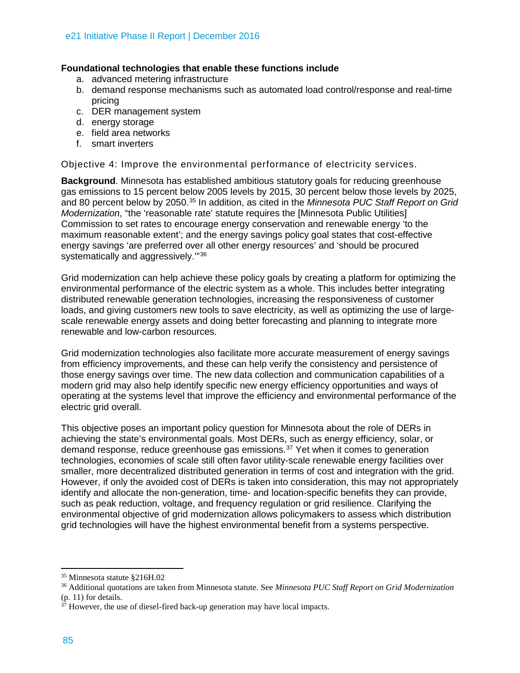## **Foundational technologies that enable these functions include**

- a. advanced metering infrastructure
- b. demand response mechanisms such as automated load control/response and real-time pricing
- c. DER management system
- d. energy storage
- e. field area networks
- f. smart inverters

Objective 4: Improve the environmental performance of electricity services.

**Background**. Minnesota has established ambitious statutory goals for reducing greenhouse gas emissions to 15 percent below 2005 levels by 2015, 30 percent below those levels by 2025, and 80 percent below by 2050. [35](#page-16-0) In addition, as cited in the *Minnesota PUC Staff Report on Grid Modernization*, "the 'reasonable rate' statute requires the [Minnesota Public Utilities] Commission to set rates to encourage energy conservation and renewable energy 'to the maximum reasonable extent'; and the energy savings policy goal states that cost-effective energy savings 'are preferred over all other energy resources' and 'should be procured systematically and aggressively.'"[36](#page-16-1)

Grid modernization can help achieve these policy goals by creating a platform for optimizing the environmental performance of the electric system as a whole. This includes better integrating distributed renewable generation technologies, increasing the responsiveness of customer loads, and giving customers new tools to save electricity, as well as optimizing the use of largescale renewable energy assets and doing better forecasting and planning to integrate more renewable and low-carbon resources.

Grid modernization technologies also facilitate more accurate measurement of energy savings from efficiency improvements, and these can help verify the consistency and persistence of those energy savings over time. The new data collection and communication capabilities of a modern grid may also help identify specific new energy efficiency opportunities and ways of operating at the systems level that improve the efficiency and environmental performance of the electric grid overall.

This objective poses an important policy question for Minnesota about the role of DERs in achieving the state's environmental goals. Most DERs, such as energy efficiency, solar, or demand response, reduce greenhouse gas emissions.[37](#page-16-2) Yet when it comes to generation technologies, economies of scale still often favor utility-scale renewable energy facilities over smaller, more decentralized distributed generation in terms of cost and integration with the grid. However, if only the avoided cost of DERs is taken into consideration, this may not appropriately identify and allocate the non-generation, time- and location-specific benefits they can provide, such as peak reduction, voltage, and frequency regulation or grid resilience. Clarifying the environmental objective of grid modernization allows policymakers to assess which distribution grid technologies will have the highest environmental benefit from a systems perspective.

<span id="page-16-0"></span><sup>35</sup> Minnesota statute §216H.02

<span id="page-16-1"></span><sup>36</sup> Additional quotations are taken from Minnesota statute. See *Minnesota PUC Staff Report on Grid Modernization* (p. 11) for details.

<span id="page-16-2"></span> $3\overline{7}$  However, the use of diesel-fired back-up generation may have local impacts.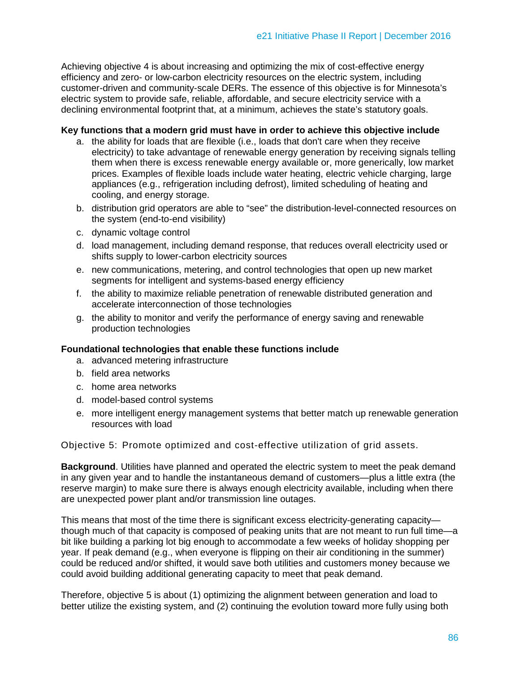Achieving objective 4 is about increasing and optimizing the mix of cost-effective energy efficiency and zero- or low-carbon electricity resources on the electric system, including customer-driven and community-scale DERs. The essence of this objective is for Minnesota's electric system to provide safe, reliable, affordable, and secure electricity service with a declining environmental footprint that, at a minimum, achieves the state's statutory goals.

#### **Key functions that a modern grid must have in order to achieve this objective include**

- a. the ability for loads that are flexible (i.e., loads that don't care when they receive electricity) to take advantage of renewable energy generation by receiving signals telling them when there is excess renewable energy available or, more generically, low market prices. Examples of flexible loads include water heating, electric vehicle charging, large appliances (e.g., refrigeration including defrost), limited scheduling of heating and cooling, and energy storage.
- b. distribution grid operators are able to "see" the distribution-level-connected resources on the system (end-to-end visibility)
- c. dynamic voltage control
- d. load management, including demand response, that reduces overall electricity used or shifts supply to lower-carbon electricity sources
- e. new communications, metering, and control technologies that open up new market segments for intelligent and systems-based energy efficiency
- f. the ability to maximize reliable penetration of renewable distributed generation and accelerate interconnection of those technologies
- g. the ability to monitor and verify the performance of energy saving and renewable production technologies

#### **Foundational technologies that enable these functions include**

- a. advanced metering infrastructure
- b. field area networks
- c. home area networks
- d. model-based control systems
- e. more intelligent energy management systems that better match up renewable generation resources with load

Objective 5: Promote optimized and cost-effective utilization of grid assets.

**Background**. Utilities have planned and operated the electric system to meet the peak demand in any given year and to handle the instantaneous demand of customers—plus a little extra (the reserve margin) to make sure there is always enough electricity available, including when there are unexpected power plant and/or transmission line outages.

This means that most of the time there is significant excess electricity-generating capacity though much of that capacity is composed of peaking units that are not meant to run full time—a bit like building a parking lot big enough to accommodate a few weeks of holiday shopping per year. If peak demand (e.g., when everyone is flipping on their air conditioning in the summer) could be reduced and/or shifted, it would save both utilities and customers money because we could avoid building additional generating capacity to meet that peak demand.

Therefore, objective 5 is about (1) optimizing the alignment between generation and load to better utilize the existing system, and (2) continuing the evolution toward more fully using both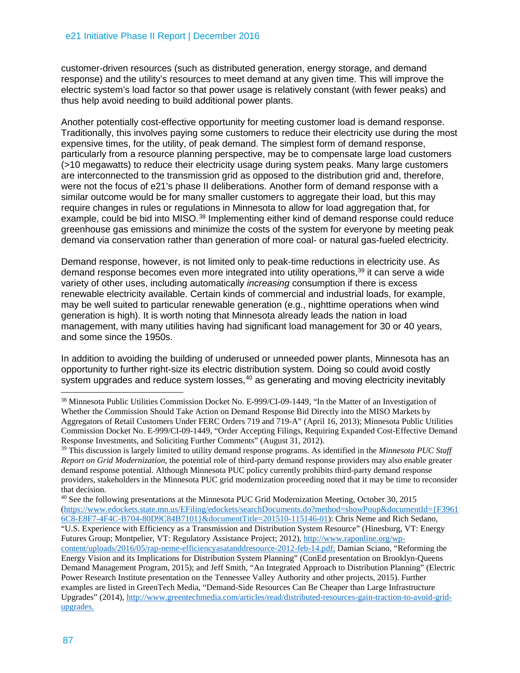customer-driven resources (such as distributed generation, energy storage, and demand response) and the utility's resources to meet demand at any given time. This will improve the electric system's load factor so that power usage is relatively constant (with fewer peaks) and thus help avoid needing to build additional power plants.

Another potentially cost-effective opportunity for meeting customer load is demand response. Traditionally, this involves paying some customers to reduce their electricity use during the most expensive times, for the utility, of peak demand. The simplest form of demand response, particularly from a resource planning perspective, may be to compensate large load customers (>10 megawatts) to reduce their electricity usage during system peaks. Many large customers are interconnected to the transmission grid as opposed to the distribution grid and, therefore, were not the focus of e21's phase II deliberations. Another form of demand response with a similar outcome would be for many smaller customers to aggregate their load, but this may require changes in rules or regulations in Minnesota to allow for load aggregation that, for example, could be bid into MISO.<sup>38</sup> Implementing either kind of demand response could reduce greenhouse gas emissions and minimize the costs of the system for everyone by meeting peak demand via conservation rather than generation of more coal- or natural gas-fueled electricity.

Demand response, however, is not limited only to peak-time reductions in electricity use. As demand response becomes even more integrated into utility operations,<sup>[39](#page-18-1)</sup> it can serve a wide variety of other uses, including automatically *increasing* consumption if there is excess renewable electricity available. Certain kinds of commercial and industrial loads, for example, may be well suited to particular renewable generation (e.g., nighttime operations when wind generation is high). It is worth noting that Minnesota already leads the nation in load management, with many utilities having had significant load management for 30 or 40 years, and some since the 1950s.

In addition to avoiding the building of underused or unneeded power plants, Minnesota has an opportunity to further right-size its electric distribution system. Doing so could avoid costly system upgrades and reduce system losses,<sup>[40](#page-18-2)</sup> as generating and moving electricity inevitably

<span id="page-18-0"></span><sup>&</sup>lt;sup>38</sup> Minnesota Public Utilities Commission Docket No. E-999/CI-09-1449, "In the Matter of an Investigation of Whether the Commission Should Take Action on Demand Response Bid Directly into the MISO Markets by Aggregators of Retail Customers Under FERC Orders 719 and 719-A" (April 16, 2013); Minnesota Public Utilities Commission Docket No. E-999/CI-09-1449, "Order Accepting Filings, Requiring Expanded Cost-Effective Demand Response Investments, and Soliciting Further Comments" (August 31, 2012).

<span id="page-18-1"></span><sup>39</sup> This discussion is largely limited to utility demand response programs. As identified in the *Minnesota PUC Staff Report on Grid Modernization*, the potential role of third-party demand response providers may also enable greater demand response potential. Although Minnesota PUC policy currently prohibits third-party demand response providers, stakeholders in the Minnesota PUC grid modernization proceeding noted that it may be time to reconsider that decision.

<span id="page-18-2"></span><sup>40</sup> See the following presentations at the Minnesota PUC Grid Modernization Meeting, October 30, 2015 [\(https://www.edockets.state.mn.us/EFiling/edockets/searchDocuments.do?method=showPoup&documentId={F3961](https://www.edockets.state.mn.us/EFiling/edockets/searchDocuments.do?method=showPoup&documentId=%7bF39616C8-E8F7-4F4C-B704-80D9C84B7101%7d&documentTitle=201510-115146-01) [6C8-E8F7-4F4C-B704-80D9C84B7101}&documentTitle=201510-115146-01\)](https://www.edockets.state.mn.us/EFiling/edockets/searchDocuments.do?method=showPoup&documentId=%7bF39616C8-E8F7-4F4C-B704-80D9C84B7101%7d&documentTitle=201510-115146-01): Chris Neme and Rich Sedano,

<sup>&</sup>quot;U.S. Experience with Efficiency as a Transmission and Distribution System Resource" (Hinesburg, VT: Energy Futures Group; Montpelier, VT: Regulatory Assistance Project; 2012)[, http://www.raponline.org/wp-](http://www.raponline.org/wp-content/uploads/2016/05/rap-neme-efficiencyasatanddresource-2012-feb-14.pdf)

[content/uploads/2016/05/rap-neme-efficiencyasatanddresource-2012-feb-14.pdf;](http://www.raponline.org/wp-content/uploads/2016/05/rap-neme-efficiencyasatanddresource-2012-feb-14.pdf) Damian Sciano, "Reforming the Energy Vision and its Implications for Distribution System Planning" (ConEd presentation on Brooklyn-Queens Demand Management Program, 2015); and Jeff Smith, "An Integrated Approach to Distribution Planning" (Electric Power Research Institute presentation on the Tennessee Valley Authority and other projects, 2015). Further examples are listed in GreenTech Media, "Demand-Side Resources Can Be Cheaper than Large Infrastructure Upgrades" (2014), [http://www.greentechmedia.com/articles/read/distributed-resources-gain-traction-to-avoid-grid](http://www.greentechmedia.com/articles/read/distributed-resources-gain-traction-to-avoid-grid-upgrades)[upgrades.](http://www.greentechmedia.com/articles/read/distributed-resources-gain-traction-to-avoid-grid-upgrades)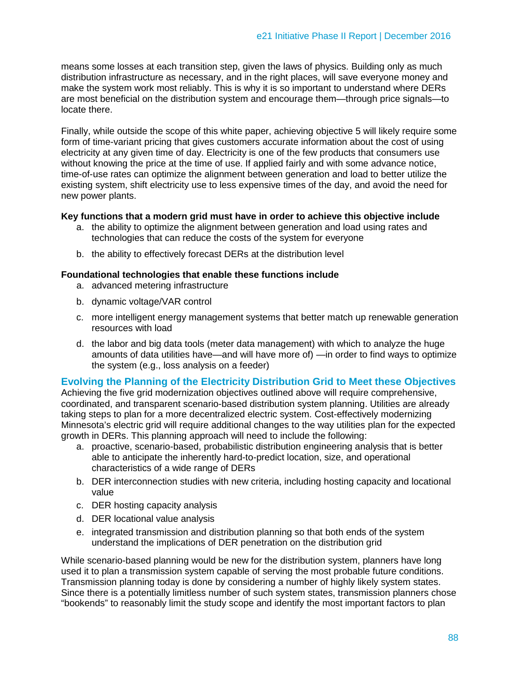means some losses at each transition step, given the laws of physics. Building only as much distribution infrastructure as necessary, and in the right places, will save everyone money and make the system work most reliably. This is why it is so important to understand where DERs are most beneficial on the distribution system and encourage them—through price signals—to locate there.

Finally, while outside the scope of this white paper, achieving objective 5 will likely require some form of time-variant pricing that gives customers accurate information about the cost of using electricity at any given time of day. Electricity is one of the few products that consumers use without knowing the price at the time of use. If applied fairly and with some advance notice, time-of-use rates can optimize the alignment between generation and load to better utilize the existing system, shift electricity use to less expensive times of the day, and avoid the need for new power plants.

#### **Key functions that a modern grid must have in order to achieve this objective include**

- a. the ability to optimize the alignment between generation and load using rates and technologies that can reduce the costs of the system for everyone
- b. the ability to effectively forecast DERs at the distribution level

#### **Foundational technologies that enable these functions include**

- a. advanced metering infrastructure
- b. dynamic voltage/VAR control
- c. more intelligent energy management systems that better match up renewable generation resources with load
- d. the labor and big data tools (meter data management) with which to analyze the huge amounts of data utilities have—and will have more of) —in order to find ways to optimize the system (e.g., loss analysis on a feeder)

## **Evolving the Planning of the Electricity Distribution Grid to Meet these Objectives**

Achieving the five grid modernization objectives outlined above will require comprehensive, coordinated, and transparent scenario-based distribution system planning. Utilities are already taking steps to plan for a more decentralized electric system. Cost-effectively modernizing Minnesota's electric grid will require additional changes to the way utilities plan for the expected growth in DERs. This planning approach will need to include the following:

- a. proactive, scenario-based, probabilistic distribution engineering analysis that is better able to anticipate the inherently hard-to-predict location, size, and operational characteristics of a wide range of DERs
- b. DER interconnection studies with new criteria, including hosting capacity and locational value
- c. DER hosting capacity analysis
- d. DER locational value analysis
- e. integrated transmission and distribution planning so that both ends of the system understand the implications of DER penetration on the distribution grid

While scenario-based planning would be new for the distribution system, planners have long used it to plan a transmission system capable of serving the most probable future conditions. Transmission planning today is done by considering a number of highly likely system states. Since there is a potentially limitless number of such system states, transmission planners chose "bookends" to reasonably limit the study scope and identify the most important factors to plan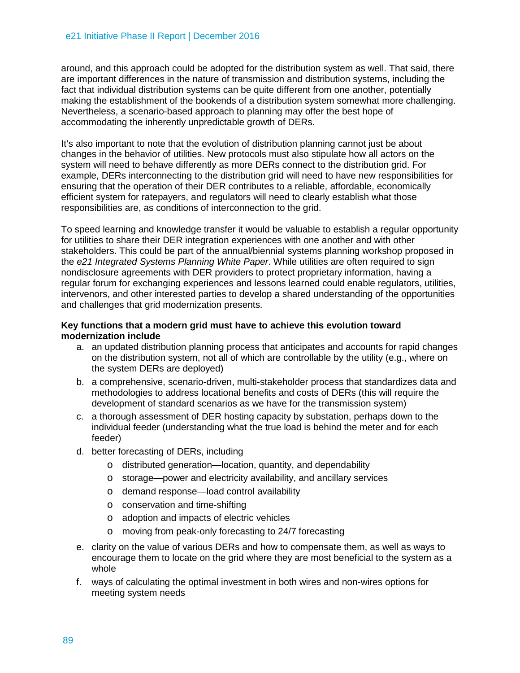around, and this approach could be adopted for the distribution system as well. That said, there are important differences in the nature of transmission and distribution systems, including the fact that individual distribution systems can be quite different from one another, potentially making the establishment of the bookends of a distribution system somewhat more challenging. Nevertheless, a scenario-based approach to planning may offer the best hope of accommodating the inherently unpredictable growth of DERs.

It's also important to note that the evolution of distribution planning cannot just be about changes in the behavior of utilities. New protocols must also stipulate how all actors on the system will need to behave differently as more DERs connect to the distribution grid. For example, DERs interconnecting to the distribution grid will need to have new responsibilities for ensuring that the operation of their DER contributes to a reliable, affordable, economically efficient system for ratepayers, and regulators will need to clearly establish what those responsibilities are, as conditions of interconnection to the grid.

To speed learning and knowledge transfer it would be valuable to establish a regular opportunity for utilities to share their DER integration experiences with one another and with other stakeholders. This could be part of the annual/biennial systems planning workshop proposed in the *e21 Integrated Systems Planning White Paper*. While utilities are often required to sign nondisclosure agreements with DER providers to protect proprietary information, having a regular forum for exchanging experiences and lessons learned could enable regulators, utilities, intervenors, and other interested parties to develop a shared understanding of the opportunities and challenges that grid modernization presents.

## **Key functions that a modern grid must have to achieve this evolution toward modernization include**

- a. an updated distribution planning process that anticipates and accounts for rapid changes on the distribution system, not all of which are controllable by the utility (e.g., where on the system DERs are deployed)
- b. a comprehensive, scenario-driven, multi-stakeholder process that standardizes data and methodologies to address locational benefits and costs of DERs (this will require the development of standard scenarios as we have for the transmission system)
- c. a thorough assessment of DER hosting capacity by substation, perhaps down to the individual feeder (understanding what the true load is behind the meter and for each feeder)
- d. better forecasting of DERs, including
	- o distributed generation—location, quantity, and dependability
	- o storage—power and electricity availability, and ancillary services
	- o demand response—load control availability
	- o conservation and time-shifting
	- o adoption and impacts of electric vehicles
	- o moving from peak-only forecasting to 24/7 forecasting
- e. clarity on the value of various DERs and how to compensate them, as well as ways to encourage them to locate on the grid where they are most beneficial to the system as a whole
- f. ways of calculating the optimal investment in both wires and non-wires options for meeting system needs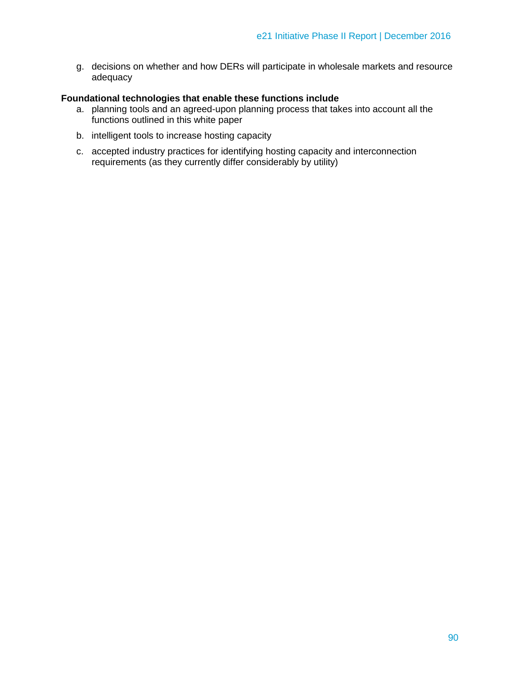g. decisions on whether and how DERs will participate in wholesale markets and resource adequacy

## **Foundational technologies that enable these functions include**

- a. planning tools and an agreed-upon planning process that takes into account all the functions outlined in this white paper
- b. intelligent tools to increase hosting capacity
- c. accepted industry practices for identifying hosting capacity and interconnection requirements (as they currently differ considerably by utility)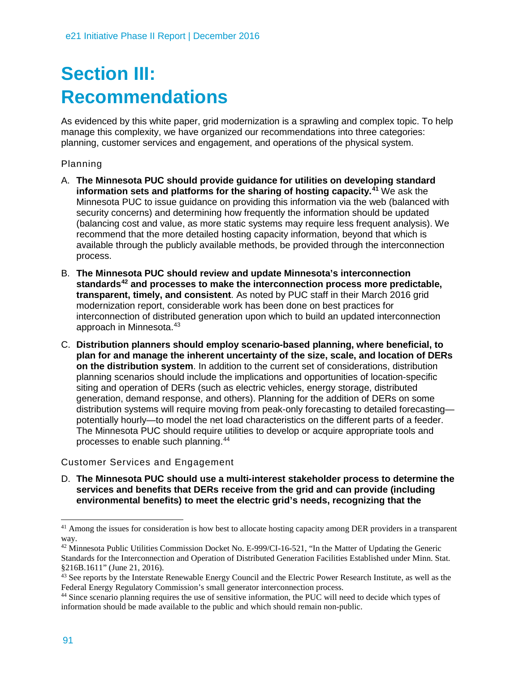# **Section III: Recommendations**

As evidenced by this white paper, grid modernization is a sprawling and complex topic. To help manage this complexity, we have organized our recommendations into three categories: planning, customer services and engagement, and operations of the physical system.

# Planning

- A. **The Minnesota PUC should provide guidance for utilities on developing standard information sets and platforms for the sharing of hosting capacity.[41](#page-22-0)** We ask the Minnesota PUC to issue guidance on providing this information via the web (balanced with security concerns) and determining how frequently the information should be updated (balancing cost and value, as more static systems may require less frequent analysis). We recommend that the more detailed hosting capacity information, beyond that which is available through the publicly available methods, be provided through the interconnection process.
- B. **The Minnesota PUC should review and update Minnesota's interconnection standards[42](#page-22-1) and processes to make the interconnection process more predictable, transparent, timely, and consistent**. As noted by PUC staff in their March 2016 grid modernization report, considerable work has been done on best practices for interconnection of distributed generation upon which to build an updated interconnection approach in Minnesota.[43](#page-22-2)
- C. **Distribution planners should employ scenario-based planning, where beneficial, to plan for and manage the inherent uncertainty of the size, scale, and location of DERs on the distribution system**. In addition to the current set of considerations, distribution planning scenarios should include the implications and opportunities of location-specific siting and operation of DERs (such as electric vehicles, energy storage, distributed generation, demand response, and others). Planning for the addition of DERs on some distribution systems will require moving from peak-only forecasting to detailed forecasting potentially hourly—to model the net load characteristics on the different parts of a feeder. The Minnesota PUC should require utilities to develop or acquire appropriate tools and processes to enable such planning.[44](#page-22-3)

# Customer Services and Engagement

D. **The Minnesota PUC should use a multi-interest stakeholder process to determine the services and benefits that DERs receive from the grid and can provide (including environmental benefits) to meet the electric grid's needs, recognizing that the** 

<span id="page-22-0"></span><sup>&</sup>lt;sup>41</sup> Among the issues for consideration is how best to allocate hosting capacity among DER providers in a transparent way.

<span id="page-22-1"></span><sup>&</sup>lt;sup>42</sup> Minnesota Public Utilities Commission Docket No. E-999/CI-16-521, "In the Matter of Updating the Generic Standards for the Interconnection and Operation of Distributed Generation Facilities Established under Minn. Stat. §216B.1611" (June 21, 2016).

<span id="page-22-2"></span><sup>&</sup>lt;sup>43</sup> See reports by the Interstate Renewable Energy Council and the Electric Power Research Institute, as well as the Federal Energy Regulatory Commission's small generator interconnection process.

<span id="page-22-3"></span><sup>&</sup>lt;sup>44</sup> Since scenario planning requires the use of sensitive information, the PUC will need to decide which types of information should be made available to the public and which should remain non-public.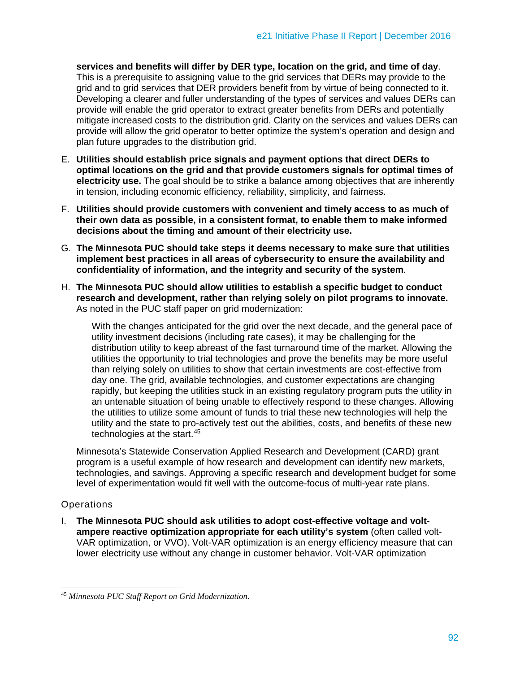**services and benefits will differ by DER type, location on the grid, and time of day**. This is a prerequisite to assigning value to the grid services that DERs may provide to the grid and to grid services that DER providers benefit from by virtue of being connected to it. Developing a clearer and fuller understanding of the types of services and values DERs can provide will enable the grid operator to extract greater benefits from DERs and potentially mitigate increased costs to the distribution grid. Clarity on the services and values DERs can provide will allow the grid operator to better optimize the system's operation and design and plan future upgrades to the distribution grid.

- E. **Utilities should establish price signals and payment options that direct DERs to optimal locations on the grid and that provide customers signals for optimal times of electricity use.** The goal should be to strike a balance among objectives that are inherently in tension, including economic efficiency, reliability, simplicity, and fairness.
- F. **Utilities should provide customers with convenient and timely access to as much of their own data as possible, in a consistent format, to enable them to make informed decisions about the timing and amount of their electricity use.**
- G. **The Minnesota PUC should take steps it deems necessary to make sure that utilities implement best practices in all areas of cybersecurity to ensure the availability and confidentiality of information, and the integrity and security of the system**.
- H. **The Minnesota PUC should allow utilities to establish a specific budget to conduct research and development, rather than relying solely on pilot programs to innovate.** As noted in the PUC staff paper on grid modernization:

With the changes anticipated for the grid over the next decade, and the general pace of utility investment decisions (including rate cases), it may be challenging for the distribution utility to keep abreast of the fast turnaround time of the market. Allowing the utilities the opportunity to trial technologies and prove the benefits may be more useful than relying solely on utilities to show that certain investments are cost-effective from day one. The grid, available technologies, and customer expectations are changing rapidly, but keeping the utilities stuck in an existing regulatory program puts the utility in an untenable situation of being unable to effectively respond to these changes. Allowing the utilities to utilize some amount of funds to trial these new technologies will help the utility and the state to pro-actively test out the abilities, costs, and benefits of these new technologies at the start.[45](#page-23-0)

Minnesota's Statewide Conservation Applied Research and Development (CARD) grant program is a useful example of how research and development can identify new markets, technologies, and savings. Approving a specific research and development budget for some level of experimentation would fit well with the outcome-focus of multi-year rate plans.

## **Operations**

I. **The Minnesota PUC should ask utilities to adopt cost-effective voltage and voltampere reactive optimization appropriate for each utility's system** (often called volt-VAR optimization, or VVO). Volt-VAR optimization is an energy efficiency measure that can lower electricity use without any change in customer behavior. Volt-VAR optimization

<span id="page-23-0"></span> $\overline{a}$ <sup>45</sup> *Minnesota PUC Staff Report on Grid Modernization.*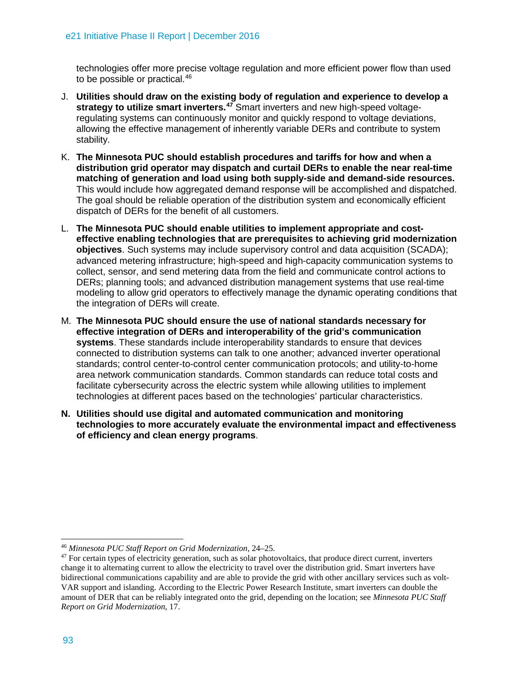technologies offer more precise voltage regulation and more efficient power flow than used to be possible or practical.[46](#page-24-0)

- J. **Utilities should draw on the existing body of regulation and experience to develop a strategy to utilize smart inverters.[47](#page-24-1)** Smart inverters and new high-speed voltageregulating systems can continuously monitor and quickly respond to voltage deviations, allowing the effective management of inherently variable DERs and contribute to system stability.
- K. **The Minnesota PUC should establish procedures and tariffs for how and when a distribution grid operator may dispatch and curtail DERs to enable the near real-time matching of generation and load using both supply-side and demand-side resources.**  This would include how aggregated demand response will be accomplished and dispatched. The goal should be reliable operation of the distribution system and economically efficient dispatch of DERs for the benefit of all customers.
- L. **The Minnesota PUC should enable utilities to implement appropriate and costeffective enabling technologies that are prerequisites to achieving grid modernization objectives**. Such systems may include supervisory control and data acquisition (SCADA); advanced metering infrastructure; high-speed and high-capacity communication systems to collect, sensor, and send metering data from the field and communicate control actions to DERs; planning tools; and advanced distribution management systems that use real-time modeling to allow grid operators to effectively manage the dynamic operating conditions that the integration of DERs will create.
- M. **The Minnesota PUC should ensure the use of national standards necessary for effective integration of DERs and interoperability of the grid's communication systems**. These standards include interoperability standards to ensure that devices connected to distribution systems can talk to one another; advanced inverter operational standards; control center-to-control center communication protocols; and utility-to-home area network communication standards. Common standards can reduce total costs and facilitate cybersecurity across the electric system while allowing utilities to implement technologies at different paces based on the technologies' particular characteristics.
- **N. Utilities should use digital and automated communication and monitoring technologies to more accurately evaluate the environmental impact and effectiveness of efficiency and clean energy programs**.

 $\overline{a}$ <sup>46</sup> *Minnesota PUC Staff Report on Grid Modernization*, 24–25.

<span id="page-24-1"></span><span id="page-24-0"></span><sup>&</sup>lt;sup>47</sup> For certain types of electricity generation, such as solar photovoltaics, that produce direct current, inverters change it to alternating current to allow the electricity to travel over the distribution grid. Smart inverters have bidirectional communications capability and are able to provide the grid with other ancillary services such as volt-VAR support and islanding. According to the Electric Power Research Institute, smart inverters can double the amount of DER that can be reliably integrated onto the grid, depending on the location; see *Minnesota PUC Staff Report on Grid Modernization*, 17.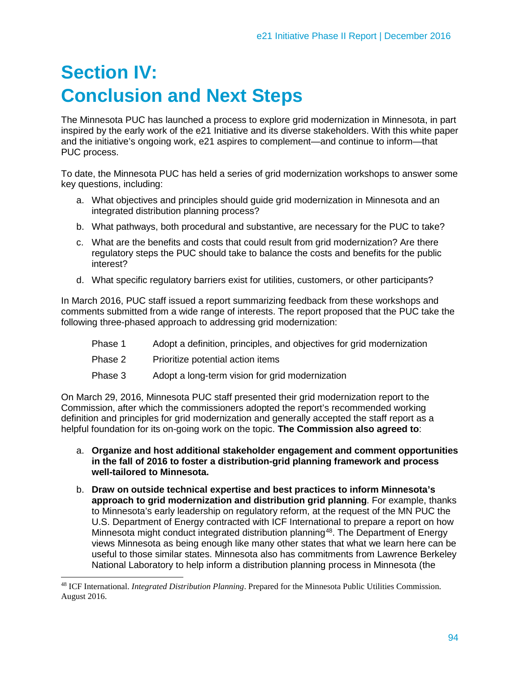# **Section IV: Conclusion and Next Steps**

The Minnesota PUC has launched a process to explore grid modernization in Minnesota, in part inspired by the early work of the e21 Initiative and its diverse stakeholders. With this white paper and the initiative's ongoing work, e21 aspires to complement—and continue to inform—that PUC process.

To date, the Minnesota PUC has held a series of grid modernization workshops to answer some key questions, including:

- a. What objectives and principles should guide grid modernization in Minnesota and an integrated distribution planning process?
- b. What pathways, both procedural and substantive, are necessary for the PUC to take?
- c. What are the benefits and costs that could result from grid modernization? Are there regulatory steps the PUC should take to balance the costs and benefits for the public interest?
- d. What specific regulatory barriers exist for utilities, customers, or other participants?

In March 2016, PUC staff issued a report summarizing feedback from these workshops and comments submitted from a wide range of interests. The report proposed that the PUC take the following three-phased approach to addressing grid modernization:

- Phase 1 Adopt a definition, principles, and objectives for grid modernization
- Phase 2 Prioritize potential action items
- Phase 3 Adopt a long-term vision for grid modernization

On March 29, 2016, Minnesota PUC staff presented their grid modernization report to the Commission, after which the commissioners adopted the report's recommended working definition and principles for grid modernization and generally accepted the staff report as a helpful foundation for its on-going work on the topic. **The Commission also agreed to**:

- a. **Organize and host additional stakeholder engagement and comment opportunities in the fall of 2016 to foster a distribution-grid planning framework and process well-tailored to Minnesota.**
- b. **Draw on outside technical expertise and best practices to inform Minnesota's approach to grid modernization and distribution grid planning**. For example, thanks to Minnesota's early leadership on regulatory reform, at the request of the MN PUC the U.S. Department of Energy contracted with ICF International to prepare a report on how Minnesota might conduct integrated distribution planning<sup>[48](#page-25-0)</sup>. The Department of Energy views Minnesota as being enough like many other states that what we learn here can be useful to those similar states. Minnesota also has commitments from Lawrence Berkeley National Laboratory to help inform a distribution planning process in Minnesota (the

<span id="page-25-0"></span> $\overline{a}$ <sup>48</sup> ICF International. *Integrated Distribution Planning*. Prepared for the Minnesota Public Utilities Commission. August 2016.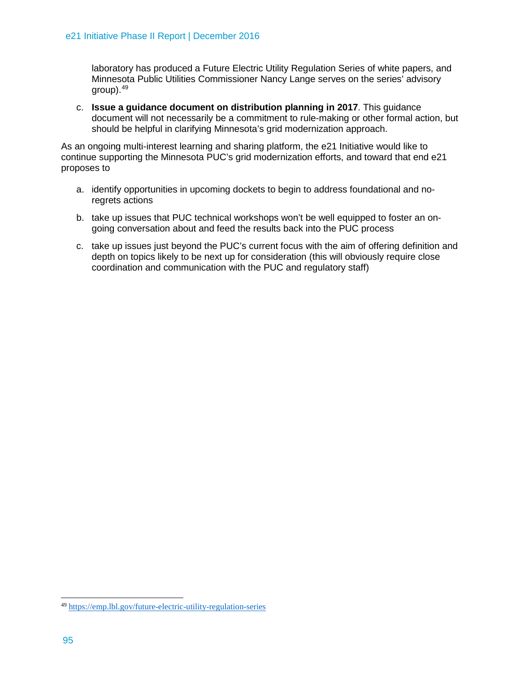laboratory has produced a Future Electric Utility Regulation Series of white papers, and Minnesota Public Utilities Commissioner Nancy Lange serves on the series' advisory  $q$ roup). $49$ 

c. **Issue a guidance document on distribution planning in 2017**. This guidance document will not necessarily be a commitment to rule-making or other formal action, but should be helpful in clarifying Minnesota's grid modernization approach.

As an ongoing multi-interest learning and sharing platform, the e21 Initiative would like to continue supporting the Minnesota PUC's grid modernization efforts, and toward that end e21 proposes to

- a. identify opportunities in upcoming dockets to begin to address foundational and noregrets actions
- b. take up issues that PUC technical workshops won't be well equipped to foster an ongoing conversation about and feed the results back into the PUC process
- c. take up issues just beyond the PUC's current focus with the aim of offering definition and depth on topics likely to be next up for consideration (this will obviously require close coordination and communication with the PUC and regulatory staff)

<span id="page-26-0"></span> $\overline{a}$ <sup>49</sup> <https://emp.lbl.gov/future-electric-utility-regulation-series>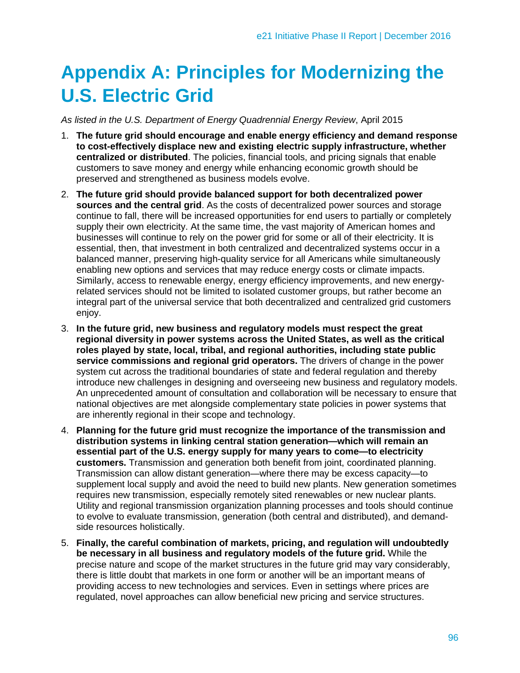# **Appendix A: Principles for Modernizing the U.S. Electric Grid**

*As listed in the U.S. Department of Energy Quadrennial Energy Review*, April 2015

- 1. **The future grid should encourage and enable energy efficiency and demand response to cost-effectively displace new and existing electric supply infrastructure, whether centralized or distributed**. The policies, financial tools, and pricing signals that enable customers to save money and energy while enhancing economic growth should be preserved and strengthened as business models evolve.
- 2. **The future grid should provide balanced support for both decentralized power sources and the central grid**. As the costs of decentralized power sources and storage continue to fall, there will be increased opportunities for end users to partially or completely supply their own electricity. At the same time, the vast majority of American homes and businesses will continue to rely on the power grid for some or all of their electricity. It is essential, then, that investment in both centralized and decentralized systems occur in a balanced manner, preserving high-quality service for all Americans while simultaneously enabling new options and services that may reduce energy costs or climate impacts. Similarly, access to renewable energy, energy efficiency improvements, and new energyrelated services should not be limited to isolated customer groups, but rather become an integral part of the universal service that both decentralized and centralized grid customers enjoy.
- 3. **In the future grid, new business and regulatory models must respect the great regional diversity in power systems across the United States, as well as the critical roles played by state, local, tribal, and regional authorities, including state public service commissions and regional grid operators.** The drivers of change in the power system cut across the traditional boundaries of state and federal regulation and thereby introduce new challenges in designing and overseeing new business and regulatory models. An unprecedented amount of consultation and collaboration will be necessary to ensure that national objectives are met alongside complementary state policies in power systems that are inherently regional in their scope and technology.
- 4. **Planning for the future grid must recognize the importance of the transmission and distribution systems in linking central station generation—which will remain an essential part of the U.S. energy supply for many years to come—to electricity customers.** Transmission and generation both benefit from joint, coordinated planning. Transmission can allow distant generation—where there may be excess capacity—to supplement local supply and avoid the need to build new plants. New generation sometimes requires new transmission, especially remotely sited renewables or new nuclear plants. Utility and regional transmission organization planning processes and tools should continue to evolve to evaluate transmission, generation (both central and distributed), and demandside resources holistically.
- 5. **Finally, the careful combination of markets, pricing, and regulation will undoubtedly be necessary in all business and regulatory models of the future grid.** While the precise nature and scope of the market structures in the future grid may vary considerably, there is little doubt that markets in one form or another will be an important means of providing access to new technologies and services. Even in settings where prices are regulated, novel approaches can allow beneficial new pricing and service structures.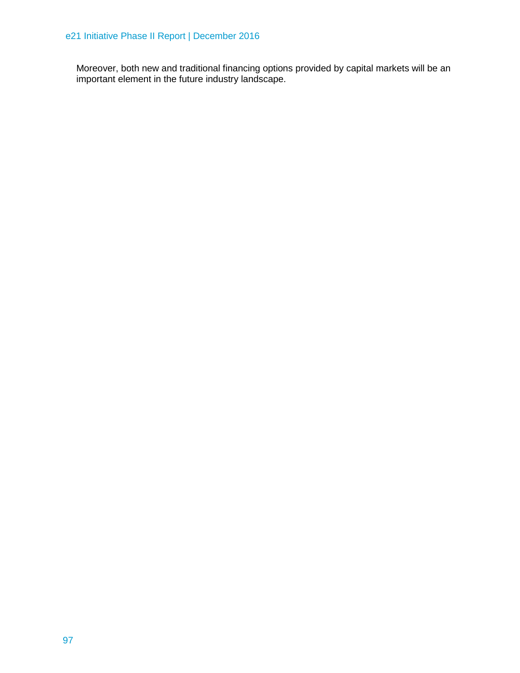Moreover, both new and traditional financing options provided by capital markets will be an important element in the future industry landscape.